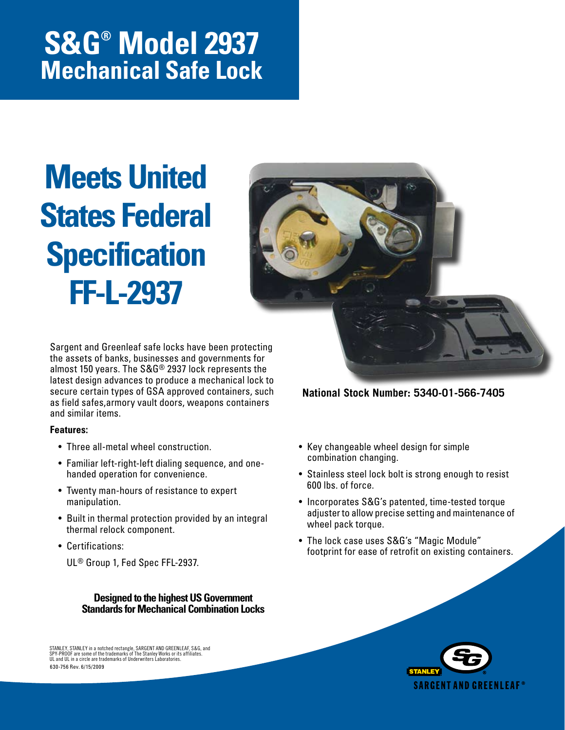## **S&G® Model 2937 Mechanical Safe Lock**

# **Meets United States Federal Specification FF-L-2937**



Sargent and Greenleaf safe locks have been protecting the assets of banks, businesses and governments for almost 150 years. The S&G® 2937 lock represents the latest design advances to produce a mechanical lock to secure certain types of GSA approved containers, such as field safes,armory vault doors, weapons containers and similar items.

#### **Features:**

- Three all-metal wheel construction.
- Familiar left-right-left dialing sequence, and onehanded operation for convenience.
- Twenty man-hours of resistance to expert manipulation.
- Built in thermal protection provided by an integral thermal relock component.
- Certifications:

UL® Group 1, Fed Spec FFL-2937.

**Designed to the highest US Government Standards for Mechanical Combination Locks**

630-756 Rev. 6/15/2009 STANLEY, STANLEY in a notched rectangle, SARGENT AND GREENLEAF, S&G, and<br>SPY-PROOF are some of the trademarks of The Stanley Works or its affiliates.<br>UL and UL in a circle are trademarks of Underwriters Laboratories.  • Key changeable wheel design for simple combination changing.

 • Stainless steel lock bolt is strong enough to resist 600 lbs. of force.

**National Stock Number: 5340-01-566-7405**

- Incorporates S&G's patented, time-tested torque adjuster to allow precise setting and maintenance of wheel pack torque.
- The lock case uses S&G's "Magic Module" footprint for ease of retrofit on existing containers.